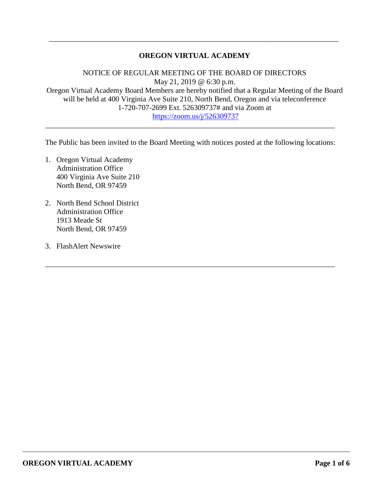### **OREGON VIRTUAL ACADEMY**

\_\_\_\_\_\_\_\_\_\_\_\_\_\_\_\_\_\_\_\_\_\_\_\_\_\_\_\_\_\_\_\_\_\_\_\_\_\_\_\_\_\_\_\_\_\_\_\_\_\_\_\_\_\_\_\_\_\_\_\_\_\_\_\_\_\_\_\_\_\_\_\_\_\_\_\_\_

NOTICE OF REGULAR MEETING OF THE BOARD OF DIRECTORS May 21, 2019 @ 6:30 p.m. Oregon Virtual Academy Board Members are hereby notified that a Regular Meeting of the Board will be held at 400 Virginia Ave Suite 210, North Bend, Oregon and via teleconference 1-720-707-2699 Ext. 526309737# and via Zoom at <https://zoom.us/j/526309737>

The Public has been invited to the Board Meeting with notices posted at the following locations:

\_\_\_\_\_\_\_\_\_\_\_\_\_\_\_\_\_\_\_\_\_\_\_\_\_\_\_\_\_\_\_\_\_\_\_\_\_\_\_\_\_\_\_\_\_\_\_\_\_\_\_\_\_\_\_\_\_\_\_\_\_\_\_\_\_\_\_\_\_\_\_\_\_\_\_\_\_

\_\_\_\_\_\_\_\_\_\_\_\_\_\_\_\_\_\_\_\_\_\_\_\_\_\_\_\_\_\_\_\_\_\_\_\_\_\_\_\_\_\_\_\_\_\_\_\_\_\_\_\_\_\_\_\_\_\_\_\_\_\_\_\_\_\_\_\_\_\_\_\_\_\_\_\_\_

- 1. Oregon Virtual Academy Administration Office 400 Virginia Ave Suite 210 North Bend, OR 97459
- 2. North Bend School District Administration Office 1913 Meade St North Bend, OR 97459
- 3. FlashAlert Newswire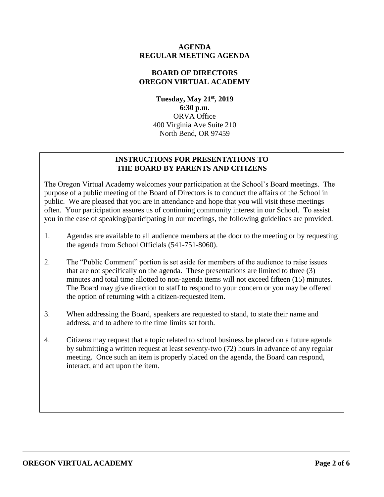### **AGENDA REGULAR MEETING AGENDA**

### **BOARD OF DIRECTORS OREGON VIRTUAL ACADEMY**

**Tuesday, May 21st , 2019 6:30 p.m.** ORVA Office 400 Virginia Ave Suite 210 North Bend, OR 97459

# **INSTRUCTIONS FOR PRESENTATIONS TO THE BOARD BY PARENTS AND CITIZENS**

The Oregon Virtual Academy welcomes your participation at the School's Board meetings. The purpose of a public meeting of the Board of Directors is to conduct the affairs of the School in public. We are pleased that you are in attendance and hope that you will visit these meetings often. Your participation assures us of continuing community interest in our School. To assist you in the ease of speaking/participating in our meetings, the following guidelines are provided.

- 1. Agendas are available to all audience members at the door to the meeting or by requesting the agenda from School Officials (541-751-8060).
- 2. The "Public Comment" portion is set aside for members of the audience to raise issues that are not specifically on the agenda. These presentations are limited to three (3) minutes and total time allotted to non-agenda items will not exceed fifteen (15) minutes. The Board may give direction to staff to respond to your concern or you may be offered the option of returning with a citizen-requested item.
- 3. When addressing the Board, speakers are requested to stand, to state their name and address, and to adhere to the time limits set forth.
- 4. Citizens may request that a topic related to school business be placed on a future agenda by submitting a written request at least seventy-two (72) hours in advance of any regular meeting. Once such an item is properly placed on the agenda, the Board can respond, interact, and act upon the item.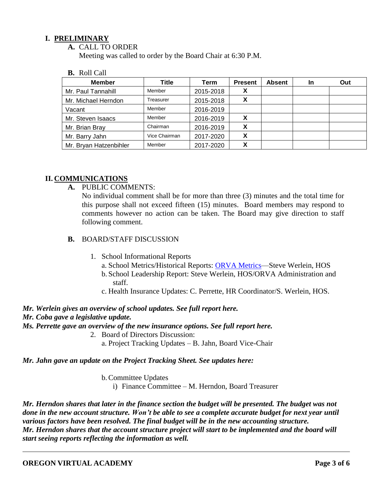### **I. PRELIMINARY**

**A.** CALL TO ORDER

Meeting was called to order by the Board Chair at 6:30 P.M.

**B.** Roll Call

| <b>Member</b>          | Title         | Term      | <b>Present</b> | <b>Absent</b> | <b>In</b> | Out |
|------------------------|---------------|-----------|----------------|---------------|-----------|-----|
| Mr. Paul Tannahill     | Member        | 2015-2018 | Λ              |               |           |     |
| Mr. Michael Herndon    | Treasurer     | 2015-2018 |                |               |           |     |
| Vacant                 | Member        | 2016-2019 |                |               |           |     |
| Mr. Steven Isaacs      | Member        | 2016-2019 |                |               |           |     |
| Mr. Brian Bray         | Chairman      | 2016-2019 | X              |               |           |     |
| Mr. Barry Jahn         | Vice Chairman | 2017-2020 | X              |               |           |     |
| Mr. Bryan Hatzenbihler | Member        | 2017-2020 |                |               |           |     |

### **II. COMMUNICATIONS**

**A.** PUBLIC COMMENTS:

No individual comment shall be for more than three (3) minutes and the total time for this purpose shall not exceed fifteen (15) minutes. Board members may respond to comments however no action can be taken. The Board may give direction to staff following comment.

- **B.** BOARD/STAFF DISCUSSION
	- 1. School Informational Reports
		- a. School Metrics/Historical Reports: ORVA Metrics-Steve Werlein, HOS
		- b. School Leadership Report: Steve Werlein, HOS/ORVA Administration and staff.
		- c. Health Insurance Updates: C. Perrette, HR Coordinator/S. Werlein, HOS.
- *Mr. Werlein gives an overview of school updates. See full report here.*

#### *Mr. Coba gave a legislative update.*

*Ms. Perrette gave an overview of the new insurance options. See full report here.*

- 2. Board of Directors Discussion:
	- a. Project Tracking Updates B. Jahn, Board Vice-Chair

#### *Mr. Jahn gave an update on the Project Tracking Sheet. See updates here:*

b.Committee Updates

i) Finance Committee – M. Herndon, Board Treasurer

*Mr. Herndon shares that later in the finance section the budget will be presented. The budget was not done in the new account structure. Won't be able to see a complete accurate budget for next year until various factors have been resolved. The final budget will be in the new accounting structure. Mr. Herndon shares that the account structure project will start to be implemented and the board will start seeing reports reflecting the information as well.*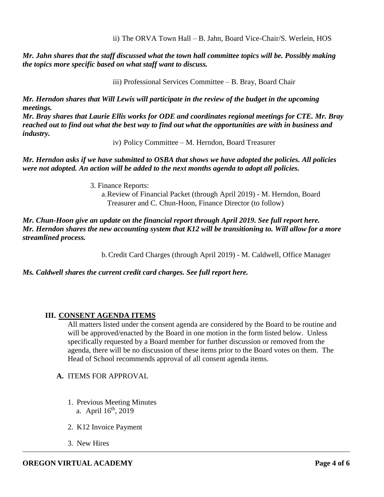ii) The ORVA Town Hall – B. Jahn, Board Vice-Chair/S. Werlein, HOS

*Mr. Jahn shares that the staff discussed what the town hall committee topics will be. Possibly making the topics more specific based on what staff want to discuss.* 

iii) Professional Services Committee – B. Bray, Board Chair

*Mr. Herndon shares that Will Lewis will participate in the review of the budget in the upcoming meetings.* 

*Mr. Bray shares that Laurie Ellis works for ODE and coordinates regional meetings for CTE. Mr. Bray reached out to find out what the best way to find out what the opportunities are with in business and industry.*

iv) Policy Committee – M. Herndon, Board Treasurer

*Mr. Herndon asks if we have submitted to OSBA that shows we have adopted the policies. All policies were not adopted. An action will be added to the next months agenda to adopt all policies.* 

3. Finance Reports:

a.Review of Financial Packet (through April 2019) - M. Herndon, Board Treasurer and C. Chun-Hoon, Finance Director (to follow)

*Mr. Chun-Hoon give an update on the financial report through April 2019. See full report here. Mr. Herndon shares the new accounting system that K12 will be transitioning to. Will allow for a more streamlined process.*

b.Credit Card Charges (through April 2019) - M. Caldwell, Office Manager

*Ms. Caldwell shares the current credit card charges. See full report here.* 

## **III. CONSENT AGENDA ITEMS**

All matters listed under the consent agenda are considered by the Board to be routine and will be approved/enacted by the Board in one motion in the form listed below. Unless specifically requested by a Board member for further discussion or removed from the agenda, there will be no discussion of these items prior to the Board votes on them. The Head of School recommends approval of all consent agenda items.

- **A.** ITEMS FOR APPROVAL
	- 1. Previous Meeting Minutes a. April  $16<sup>th</sup>$ , 2019
	- 2. K12 Invoice Payment
	- 3. New Hires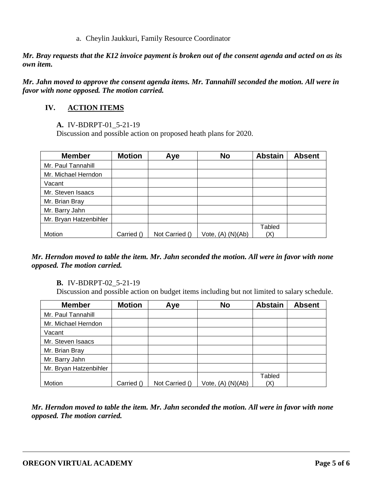#### a. Cheylin Jaukkuri, Family Resource Coordinator

*Mr. Bray requests that the K12 invoice payment is broken out of the consent agenda and acted on as its own item.*

*Mr. Jahn moved to approve the consent agenda items. Mr. Tannahill seconded the motion. All were in favor with none opposed. The motion carried.* 

# **IV. ACTION ITEMS**

### **A.** IV-BDRPT-01\_5-21-19

Discussion and possible action on proposed heath plans for 2020.

| <b>Member</b>          | <b>Motion</b> | Aye            | <b>No</b>         | <b>Abstain</b> | <b>Absent</b> |
|------------------------|---------------|----------------|-------------------|----------------|---------------|
| Mr. Paul Tannahill     |               |                |                   |                |               |
| Mr. Michael Herndon    |               |                |                   |                |               |
| Vacant                 |               |                |                   |                |               |
| Mr. Steven Isaacs      |               |                |                   |                |               |
| Mr. Brian Bray         |               |                |                   |                |               |
| Mr. Barry Jahn         |               |                |                   |                |               |
| Mr. Bryan Hatzenbihler |               |                |                   |                |               |
|                        |               |                |                   | Tabled         |               |
| Motion                 | Carried ()    | Not Carried () | Vote, (A) (N)(Ab) | (X)            |               |

### *Mr. Herndon moved to table the item. Mr. Jahn seconded the motion. All were in favor with none opposed. The motion carried.*

### **B.** IV-BDRPT-02\_5-21-19

Discussion and possible action on budget items including but not limited to salary schedule.

| <b>Member</b>          | <b>Motion</b> | Aye            | <b>No</b>         | <b>Abstain</b> | <b>Absent</b> |
|------------------------|---------------|----------------|-------------------|----------------|---------------|
| Mr. Paul Tannahill     |               |                |                   |                |               |
| Mr. Michael Herndon    |               |                |                   |                |               |
| Vacant                 |               |                |                   |                |               |
| Mr. Steven Isaacs      |               |                |                   |                |               |
| Mr. Brian Bray         |               |                |                   |                |               |
| Mr. Barry Jahn         |               |                |                   |                |               |
| Mr. Bryan Hatzenbihler |               |                |                   |                |               |
|                        |               |                |                   | Tabled         |               |
| Motion                 | Carried ()    | Not Carried () | Vote, (A) (N)(Ab) | (X)            |               |

*Mr. Herndon moved to table the item. Mr. Jahn seconded the motion. All were in favor with none opposed. The motion carried.*